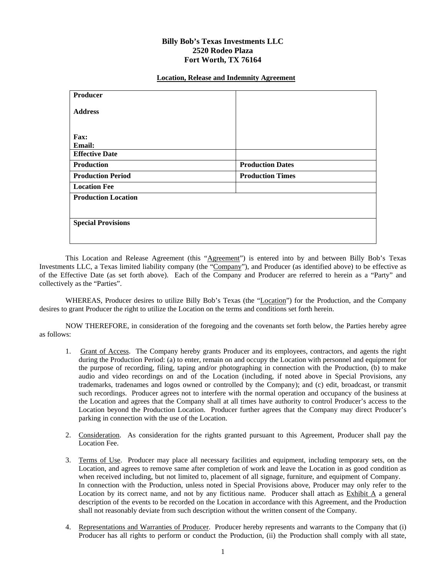## **Billy Bob's Texas Investments LLC 2520 Rodeo Plaza Fort Worth, TX 76164**

## **Location, Release and Indemnity Agreement**

| Producer                   |                         |
|----------------------------|-------------------------|
| <b>Address</b>             |                         |
|                            |                         |
| Fax:                       |                         |
| Email:                     |                         |
| <b>Effective Date</b>      |                         |
| <b>Production</b>          | <b>Production Dates</b> |
| <b>Production Period</b>   | <b>Production Times</b> |
| <b>Location Fee</b>        |                         |
| <b>Production Location</b> |                         |
|                            |                         |
| <b>Special Provisions</b>  |                         |
|                            |                         |
|                            |                         |

This Location and Release Agreement (this "Agreement") is entered into by and between Billy Bob's Texas Investments LLC, a Texas limited liability company (the "Company"), and Producer (as identified above) to be effective as of the Effective Date (as set forth above). Each of the Company and Producer are referred to herein as a "Party" and collectively as the "Parties".

WHEREAS, Producer desires to utilize Billy Bob's Texas (the "Location") for the Production, and the Company desires to grant Producer the right to utilize the Location on the terms and conditions set forth herein.

NOW THEREFORE, in consideration of the foregoing and the covenants set forth below, the Parties hereby agree as follows:

- 1. Grant of Access. The Company hereby grants Producer and its employees, contractors, and agents the right during the Production Period: (a) to enter, remain on and occupy the Location with personnel and equipment for the purpose of recording, filing, taping and/or photographing in connection with the Production, (b) to make audio and video recordings on and of the Location (including, if noted above in Special Provisions, any trademarks, tradenames and logos owned or controlled by the Company); and (c) edit, broadcast, or transmit such recordings. Producer agrees not to interfere with the normal operation and occupancy of the business at the Location and agrees that the Company shall at all times have authority to control Producer's access to the Location beyond the Production Location. Producer further agrees that the Company may direct Producer's parking in connection with the use of the Location.
- 2. Consideration. As consideration for the rights granted pursuant to this Agreement, Producer shall pay the Location Fee.
- 3. Terms of Use. Producer may place all necessary facilities and equipment, including temporary sets, on the Location, and agrees to remove same after completion of work and leave the Location in as good condition as when received including, but not limited to, placement of all signage, furniture, and equipment of Company. In connection with the Production, unless noted in Special Provisions above, Producer may only refer to the Location by its correct name, and not by any fictitious name. Producer shall attach as Exhibit A a general description of the events to be recorded on the Location in accordance with this Agreement, and the Production shall not reasonably deviate from such description without the written consent of the Company.
- 4. Representations and Warranties of Producer. Producer hereby represents and warrants to the Company that (i) Producer has all rights to perform or conduct the Production, (ii) the Production shall comply with all state,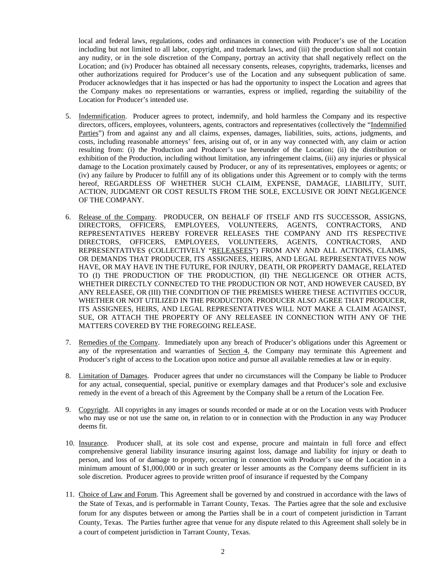local and federal laws, regulations, codes and ordinances in connection with Producer's use of the Location including but not limited to all labor, copyright, and trademark laws, and (iii) the production shall not contain any nudity, or in the sole discretion of the Company, portray an activity that shall negatively reflect on the Location; and (iv) Producer has obtained all necessary consents, releases, copyrights, trademarks, licenses and other authorizations required for Producer's use of the Location and any subsequent publication of same. Producer acknowledges that it has inspected or has had the opportunity to inspect the Location and agrees that the Company makes no representations or warranties, express or implied, regarding the suitability of the Location for Producer's intended use.

- 5. Indemnification. Producer agrees to protect, indemnify, and hold harmless the Company and its respective directors, officers, employees, volunteers, agents, contractors and representatives (collectively the "Indemnified Parties") from and against any and all claims, expenses, damages, liabilities, suits, actions, judgments, and costs, including reasonable attorneys' fees, arising out of, or in any way connected with, any claim or action resulting from: (i) the Production and Producer's use hereunder of the Location; (ii) the distribution or exhibition of the Production, including without limitation, any infringement claims, (iii) any injuries or physical damage to the Location proximately caused by Producer, or any of its representatives, employees or agents; or (iv) any failure by Producer to fulfill any of its obligations under this Agreement or to comply with the terms hereof, REGARDLESS OF WHETHER SUCH CLAIM, EXPENSE, DAMAGE, LIABILITY, SUIT, ACTION, JUDGMENT OR COST RESULTS FROM THE SOLE, EXCLUSIVE OR JOINT NEGLIGENCE OF THE COMPANY.
- 6. Release of the Company. PRODUCER, ON BEHALF OF ITSELF AND ITS SUCCESSOR, ASSIGNS, DIRECTORS, OFFICERS, EMPLOYEES, VOLUNTEERS, AGENTS, CONTRACTORS, AND DIRECTORS, OFFICERS, EMPLOYEES, VOLUNTEERS, AGENTS, CONTRACTORS, AND REPRESENTATIVES HEREBY FOREVER RELEASES THE COMPANY AND ITS RESPECTIVE DIRECTORS, OFFICERS, EMPLOYEES, VOLUNTEERS, AGENTS, CONTRACTORS, AND REPRESENTATIVES (COLLECTIVELY "RELEASEES") FROM ANY AND ALL ACTIONS, CLAIMS, OR DEMANDS THAT PRODUCER, ITS ASSIGNEES, HEIRS, AND LEGAL REPRESENTATIVES NOW HAVE, OR MAY HAVE IN THE FUTURE, FOR INJURY, DEATH, OR PROPERTY DAMAGE, RELATED TO (I) THE PRODUCTION OF THE PRODUCTION, (II) THE NEGLIGENCE OR OTHER ACTS, WHETHER DIRECTLY CONNECTED TO THE PRODUCTION OR NOT, AND HOWEVER CAUSED, BY ANY RELEASEE, OR (III) THE CONDITION OF THE PREMISES WHERE THESE ACTIVITIES OCCUR, WHETHER OR NOT UTILIZED IN THE PRODUCTION. PRODUCER ALSO AGREE THAT PRODUCER, ITS ASSIGNEES, HEIRS, AND LEGAL REPRESENTATIVES WILL NOT MAKE A CLAIM AGAINST, SUE, OR ATTACH THE PROPERTY OF ANY RELEASEE IN CONNECTION WITH ANY OF THE MATTERS COVERED BY THE FOREGOING RELEASE.
- 7. Remedies of the Company. Immediately upon any breach of Producer's obligations under this Agreement or any of the representation and warranties of Section 4, the Company may terminate this Agreement and Producer's right of access to the Location upon notice and pursue all available remedies at law or in equity.
- 8. Limitation of Damages. Producer agrees that under no circumstances will the Company be liable to Producer for any actual, consequential, special, punitive or exemplary damages and that Producer's sole and exclusive remedy in the event of a breach of this Agreement by the Company shall be a return of the Location Fee.
- 9. Copyright. All copyrights in any images or sounds recorded or made at or on the Location vests with Producer who may use or not use the same on, in relation to or in connection with the Production in any way Producer deems fit.
- 10. Insurance. Producer shall, at its sole cost and expense, procure and maintain in full force and effect comprehensive general liability insurance insuring against loss, damage and liability for injury or death to person, and loss of or damage to property, occurring in connection with Producer's use of the Location in a minimum amount of \$1,000,000 or in such greater or lesser amounts as the Company deems sufficient in its sole discretion. Producer agrees to provide written proof of insurance if requested by the Company
- 11. Choice of Law and Forum. This Agreement shall be governed by and construed in accordance with the laws of the State of Texas, and is performable in Tarrant County, Texas. The Parties agree that the sole and exclusive forum for any disputes between or among the Parties shall be in a court of competent jurisdiction in Tarrant County, Texas. The Parties further agree that venue for any dispute related to this Agreement shall solely be in a court of competent jurisdiction in Tarrant County, Texas.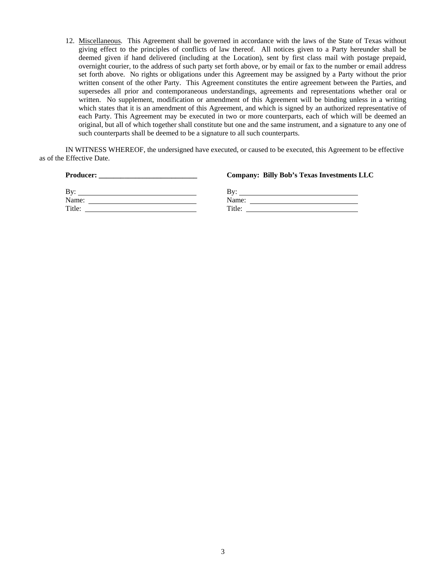12. Miscellaneous. This Agreement shall be governed in accordance with the laws of the State of Texas without giving effect to the principles of conflicts of law thereof. All notices given to a Party hereunder shall be deemed given if hand delivered (including at the Location), sent by first class mail with postage prepaid, overnight courier, to the address of such party set forth above, or by email or fax to the number or email address set forth above. No rights or obligations under this Agreement may be assigned by a Party without the prior written consent of the other Party. This Agreement constitutes the entire agreement between the Parties, and supersedes all prior and contemporaneous understandings, agreements and representations whether oral or written. No supplement, modification or amendment of this Agreement will be binding unless in a writing which states that it is an amendment of this Agreement, and which is signed by an authorized representative of each Party. This Agreement may be executed in two or more counterparts, each of which will be deemed an original, but all of which together shall constitute but one and the same instrument, and a signature to any one of such counterparts shall be deemed to be a signature to all such counterparts.

IN WITNESS WHEREOF, the undersigned have executed, or caused to be executed, this Agreement to be effective as of the Effective Date.

| <b>Producer:</b><br><u> 1980 - Jan Samuel Barbara, margaret e populazion del control de la provincia del control de la provincia del </u> | <b>Company: Billy Bob's Texas Investments LLC</b>                                                                            |
|-------------------------------------------------------------------------------------------------------------------------------------------|------------------------------------------------------------------------------------------------------------------------------|
| Bv:                                                                                                                                       | Bv:<br><u> 1989 - Johann Stoff, deutscher Stoff, der Stoff, der Stoff, der Stoff, der Stoff, der Stoff, der Stoff, der S</u> |
| Name:<br>the contract of the contract of the contract of the contract of the contract of                                                  | Name:                                                                                                                        |
| Title:                                                                                                                                    | Title:                                                                                                                       |
|                                                                                                                                           |                                                                                                                              |